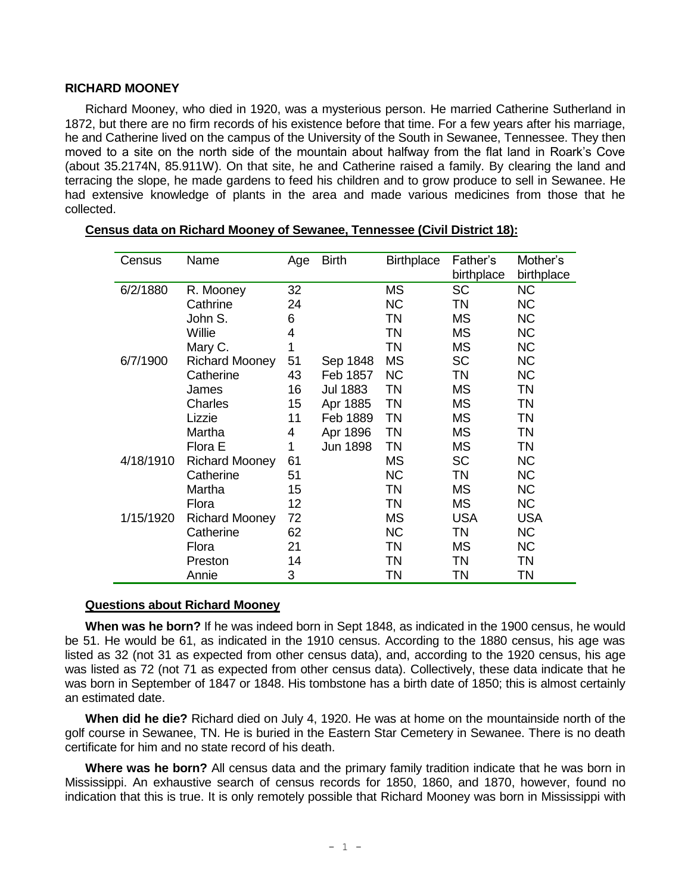## **RICHARD MOONEY**

Richard Mooney, who died in 1920, was a mysterious person. He married Catherine Sutherland in 1872, but there are no firm records of his existence before that time. For a few years after his marriage, he and Catherine lived on the campus of the University of the South in Sewanee, Tennessee. They then moved to a site on the north side of the mountain about halfway from the flat land in Roark's Cove (about 35.2174N, 85.911W). On that site, he and Catherine raised a family. By clearing the land and terracing the slope, he made gardens to feed his children and to grow produce to sell in Sewanee. He had extensive knowledge of plants in the area and made various medicines from those that he collected.

| Census    | Name                  | Age          | <b>Birth</b>    | <b>Birthplace</b> | Father's<br>birthplace | Mother's<br>birthplace |
|-----------|-----------------------|--------------|-----------------|-------------------|------------------------|------------------------|
| 6/2/1880  | R. Mooney             | 32           |                 | <b>MS</b>         | <b>SC</b>              | <b>NC</b>              |
|           | Cathrine              | 24           |                 | <b>NC</b>         | TN                     | <b>NC</b>              |
|           | John S.               | 6            |                 | <b>TN</b>         | MS                     | <b>NC</b>              |
|           | Willie                | 4            |                 | <b>TN</b>         | MS                     | <b>NC</b>              |
|           | Mary C.               | $\mathbf{1}$ |                 | <b>TN</b>         | <b>MS</b>              | <b>NC</b>              |
| 6/7/1900  | <b>Richard Mooney</b> | 51           | Sep 1848        | MS                | <b>SC</b>              | <b>NC</b>              |
|           | Catherine             | 43           | Feb 1857        | <b>NC</b>         | TN                     | <b>NC</b>              |
|           | James                 | 16           | <b>Jul 1883</b> | TN                | MS                     | <b>TN</b>              |
|           | Charles               | 15           | Apr 1885        | <b>TN</b>         | MS                     | <b>TN</b>              |
|           | Lizzie                | 11           | Feb 1889        | <b>TN</b>         | MS                     | <b>TN</b>              |
|           | Martha                | 4            | Apr 1896        | <b>TN</b>         | <b>MS</b>              | <b>TN</b>              |
|           | Flora E               | 1            | Jun 1898        | <b>TN</b>         | <b>MS</b>              | <b>TN</b>              |
| 4/18/1910 | <b>Richard Mooney</b> | 61           |                 | <b>MS</b>         | <b>SC</b>              | <b>NC</b>              |
|           | Catherine             | 51           |                 | <b>NC</b>         | <b>TN</b>              | <b>NC</b>              |
|           | Martha                | 15           |                 | <b>TN</b>         | MS                     | <b>NC</b>              |
|           | Flora                 | 12           |                 | TN                | MS                     | <b>NC</b>              |
| 1/15/1920 | <b>Richard Mooney</b> | 72           |                 | <b>MS</b>         | <b>USA</b>             | <b>USA</b>             |
|           | Catherine             | 62           |                 | <b>NC</b>         | ΤN                     | <b>NC</b>              |
|           | Flora                 | 21           |                 | TN                | <b>MS</b>              | <b>NC</b>              |
|           | Preston               | 14           |                 | <b>TN</b>         | TN                     | <b>TN</b>              |
|           | Annie                 | 3            |                 | ΤN                | ΤN                     | ΤN                     |

| Census data on Richard Mooney of Sewanee, Tennessee (Civil District 18): |  |  |
|--------------------------------------------------------------------------|--|--|
|                                                                          |  |  |

## **Questions about Richard Mooney**

**When was he born?** If he was indeed born in Sept 1848, as indicated in the 1900 census, he would be 51. He would be 61, as indicated in the 1910 census. According to the 1880 census, his age was listed as 32 (not 31 as expected from other census data), and, according to the 1920 census, his age was listed as 72 (not 71 as expected from other census data). Collectively, these data indicate that he was born in September of 1847 or 1848. His tombstone has a birth date of 1850; this is almost certainly an estimated date.

**When did he die?** Richard died on July 4, 1920. He was at home on the mountainside north of the golf course in Sewanee, TN. He is buried in the Eastern Star Cemetery in Sewanee. There is no death certificate for him and no state record of his death.

**Where was he born?** All census data and the primary family tradition indicate that he was born in Mississippi. An exhaustive search of census records for 1850, 1860, and 1870, however, found no indication that this is true. It is only remotely possible that Richard Mooney was born in Mississippi with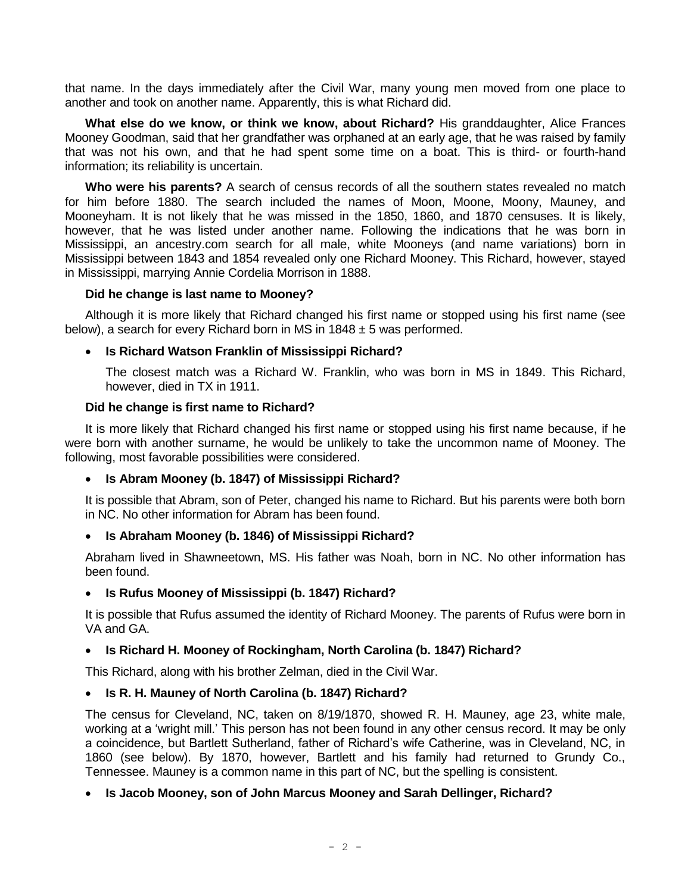that name. In the days immediately after the Civil War, many young men moved from one place to another and took on another name. Apparently, this is what Richard did.

**What else do we know, or think we know, about Richard?** His granddaughter, Alice Frances Mooney Goodman, said that her grandfather was orphaned at an early age, that he was raised by family that was not his own, and that he had spent some time on a boat. This is third- or fourth-hand information; its reliability is uncertain.

**Who were his parents?** A search of census records of all the southern states revealed no match for him before 1880. The search included the names of Moon, Moone, Moony, Mauney, and Mooneyham. It is not likely that he was missed in the 1850, 1860, and 1870 censuses. It is likely, however, that he was listed under another name. Following the indications that he was born in Mississippi, an ancestry.com search for all male, white Mooneys (and name variations) born in Mississippi between 1843 and 1854 revealed only one Richard Mooney. This Richard, however, stayed in Mississippi, marrying Annie Cordelia Morrison in 1888.

## **Did he change is last name to Mooney?**

Although it is more likely that Richard changed his first name or stopped using his first name (see below), a search for every Richard born in MS in  $1848 \pm 5$  was performed.

## **Is Richard Watson Franklin of Mississippi Richard?**

The closest match was a Richard W. Franklin, who was born in MS in 1849. This Richard, however, died in TX in 1911.

## **Did he change is first name to Richard?**

It is more likely that Richard changed his first name or stopped using his first name because, if he were born with another surname, he would be unlikely to take the uncommon name of Mooney. The following, most favorable possibilities were considered.

# **Is Abram Mooney (b. 1847) of Mississippi Richard?**

It is possible that Abram, son of Peter, changed his name to Richard. But his parents were both born in NC. No other information for Abram has been found.

## **Is Abraham Mooney (b. 1846) of Mississippi Richard?**

Abraham lived in Shawneetown, MS. His father was Noah, born in NC. No other information has been found.

## **Is Rufus Mooney of Mississippi (b. 1847) Richard?**

It is possible that Rufus assumed the identity of Richard Mooney. The parents of Rufus were born in VA and GA.

# **Is Richard H. Mooney of Rockingham, North Carolina (b. 1847) Richard?**

This Richard, along with his brother Zelman, died in the Civil War.

# **Is R. H. Mauney of North Carolina (b. 1847) Richard?**

The census for Cleveland, NC, taken on 8/19/1870, showed R. H. Mauney, age 23, white male, working at a 'wright mill.' This person has not been found in any other census record. It may be only a coincidence, but Bartlett Sutherland, father of Richard's wife Catherine, was in Cleveland, NC, in 1860 (see below). By 1870, however, Bartlett and his family had returned to Grundy Co., Tennessee. Mauney is a common name in this part of NC, but the spelling is consistent.

# **Is Jacob Mooney, son of John Marcus Mooney and Sarah Dellinger, Richard?**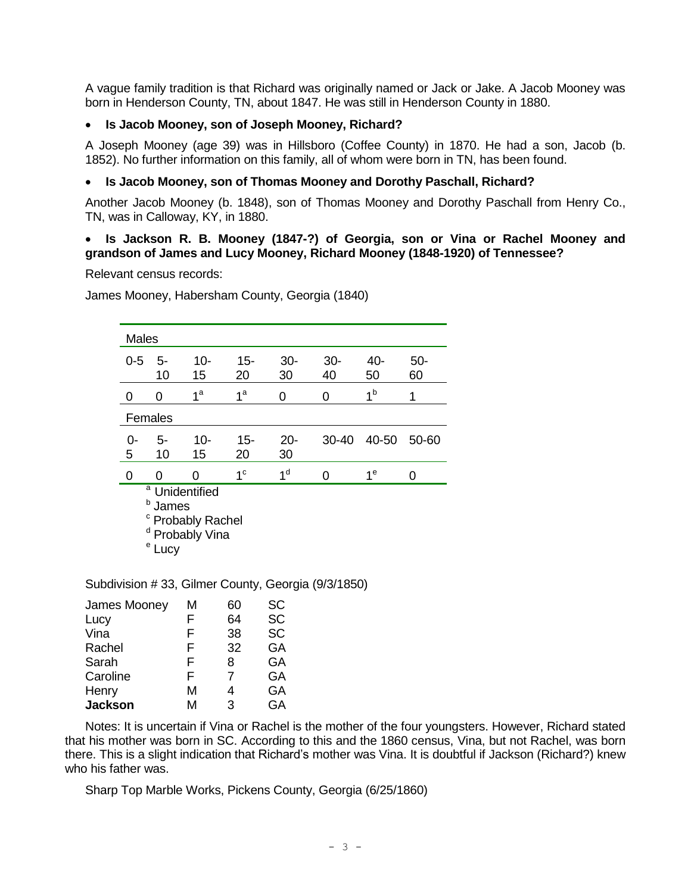A vague family tradition is that Richard was originally named or Jack or Jake. A Jacob Mooney was born in Henderson County, TN, about 1847. He was still in Henderson County in 1880.

# **Is Jacob Mooney, son of Joseph Mooney, Richard?**

A Joseph Mooney (age 39) was in Hillsboro (Coffee County) in 1870. He had a son, Jacob (b. 1852). No further information on this family, all of whom were born in TN, has been found.

# **Is Jacob Mooney, son of Thomas Mooney and Dorothy Paschall, Richard?**

Another Jacob Mooney (b. 1848), son of Thomas Mooney and Dorothy Paschall from Henry Co., TN, was in Calloway, KY, in 1880.

## **Is Jackson R. B. Mooney (1847-?) of Georgia, son or Vina or Rachel Mooney and grandson of James and Lucy Mooney, Richard Mooney (1848-1920) of Tennessee?**

Relevant census records:

James Mooney, Habersham County, Georgia (1840)

| <b>Males</b>                                                                                               |          |                |                |                |              |                |              |
|------------------------------------------------------------------------------------------------------------|----------|----------------|----------------|----------------|--------------|----------------|--------------|
| $0 - 5$                                                                                                    | 5-<br>10 | 10-<br>15      | $15 -$<br>20   | $30-$<br>30    | $30 -$<br>40 | 40-<br>50      | $50 -$<br>60 |
| O                                                                                                          | O        | 1 <sup>a</sup> | 1 <sup>a</sup> | 0              | 0            | 1 <sup>b</sup> | 1            |
|                                                                                                            | Females  |                |                |                |              |                |              |
| ი-<br>5                                                                                                    | 5-<br>10 | 10-<br>15      | $15 -$<br>20   | $20 -$<br>30   | $30 - 40$    | 40-50          | 50-60        |
| 0                                                                                                          | n        | U              | 1 <sup>c</sup> | 1 <sup>d</sup> | ი            | 1 <sup>e</sup> | 0            |
| <sup>a</sup> Unidentified<br>b<br>James<br><sup>c</sup> Probably Rachel<br>d<br>Probably Vina<br>е<br>Lucy |          |                |                |                |              |                |              |

Subdivision # 33, Gilmer County, Georgia (9/3/1850)

| James Mooney   | М | 60 | SC        |
|----------------|---|----|-----------|
| Lucy           | F | 64 | <b>SC</b> |
| Vina           | F | 38 | <b>SC</b> |
| Rachel         | F | 32 | GA        |
| Sarah          | F | 8  | GA        |
| Caroline       | F | 7  | GA        |
| Henry          | M | 4  | GA        |
| <b>Jackson</b> | м | З  | GA        |

Notes: It is uncertain if Vina or Rachel is the mother of the four youngsters. However, Richard stated that his mother was born in SC. According to this and the 1860 census, Vina, but not Rachel, was born there. This is a slight indication that Richard's mother was Vina. It is doubtful if Jackson (Richard?) knew who his father was.

Sharp Top Marble Works, Pickens County, Georgia (6/25/1860)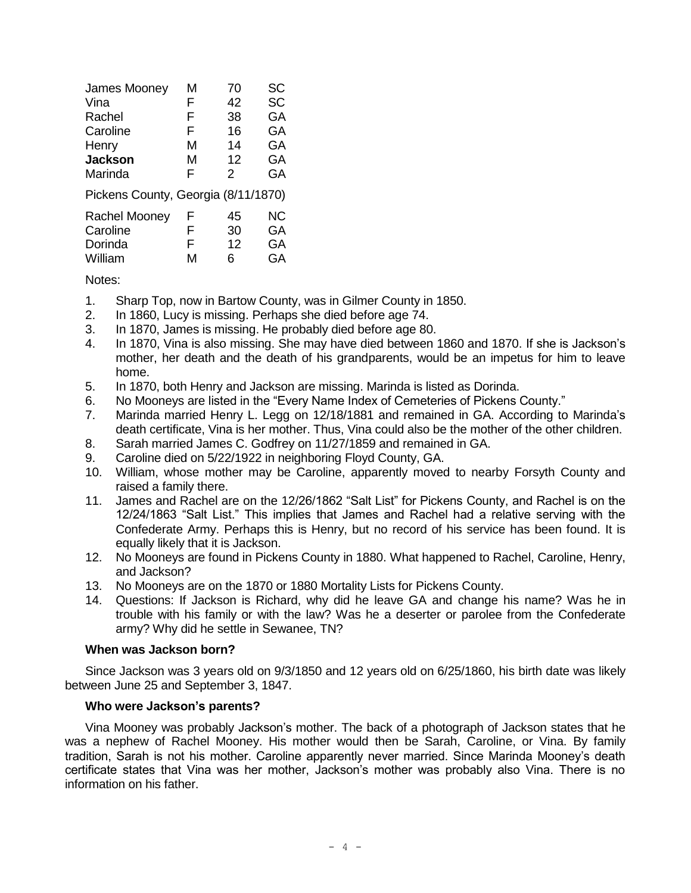| James Mooney                        | M | 70            | SC        |
|-------------------------------------|---|---------------|-----------|
| Vina                                | F | 42            | <b>SC</b> |
| Rachel                              | F | 38            | GA        |
| Caroline                            | F | 16            | GA        |
| Henry                               | м | 14            | GA        |
| <b>Jackson</b>                      | М | 12            | GA        |
| Marinda                             | F | $\mathcal{P}$ | GA        |
| Pickens County, Georgia (8/11/1870) |   |               |           |
| Rachel Mooney                       | F | 45            | <b>NC</b> |
| Caroline                            | F | 30            | GA        |
| Dorinda                             | F | 12            | GA        |
| William                             | М | 6             | GA        |

Notes:

- 1. Sharp Top, now in Bartow County, was in Gilmer County in 1850.
- 2. In 1860, Lucy is missing. Perhaps she died before age 74.
- 3. In 1870, James is missing. He probably died before age 80.
- 4. In 1870, Vina is also missing. She may have died between 1860 and 1870. If she is Jackson's mother, her death and the death of his grandparents, would be an impetus for him to leave home.
- 5. In 1870, both Henry and Jackson are missing. Marinda is listed as Dorinda.
- 6. No Mooneys are listed in the "Every Name Index of Cemeteries of Pickens County."
- 7. Marinda married Henry L. Legg on 12/18/1881 and remained in GA. According to Marinda's death certificate, Vina is her mother. Thus, Vina could also be the mother of the other children.
- 8. Sarah married James C. Godfrey on 11/27/1859 and remained in GA.
- 9. Caroline died on 5/22/1922 in neighboring Floyd County, GA.
- 10. William, whose mother may be Caroline, apparently moved to nearby Forsyth County and raised a family there.
- 11. James and Rachel are on the 12/26/1862 "Salt List" for Pickens County, and Rachel is on the 12/24/1863 "Salt List." This implies that James and Rachel had a relative serving with the Confederate Army. Perhaps this is Henry, but no record of his service has been found. It is equally likely that it is Jackson.
- 12. No Mooneys are found in Pickens County in 1880. What happened to Rachel, Caroline, Henry, and Jackson?
- 13. No Mooneys are on the 1870 or 1880 Mortality Lists for Pickens County.
- 14. Questions: If Jackson is Richard, why did he leave GA and change his name? Was he in trouble with his family or with the law? Was he a deserter or parolee from the Confederate army? Why did he settle in Sewanee, TN?

## **When was Jackson born?**

Since Jackson was 3 years old on 9/3/1850 and 12 years old on 6/25/1860, his birth date was likely between June 25 and September 3, 1847.

## **Who were Jackson's parents?**

Vina Mooney was probably Jackson's mother. The back of a photograph of Jackson states that he was a nephew of Rachel Mooney. His mother would then be Sarah, Caroline, or Vina. By family tradition, Sarah is not his mother. Caroline apparently never married. Since Marinda Mooney's death certificate states that Vina was her mother, Jackson's mother was probably also Vina. There is no information on his father.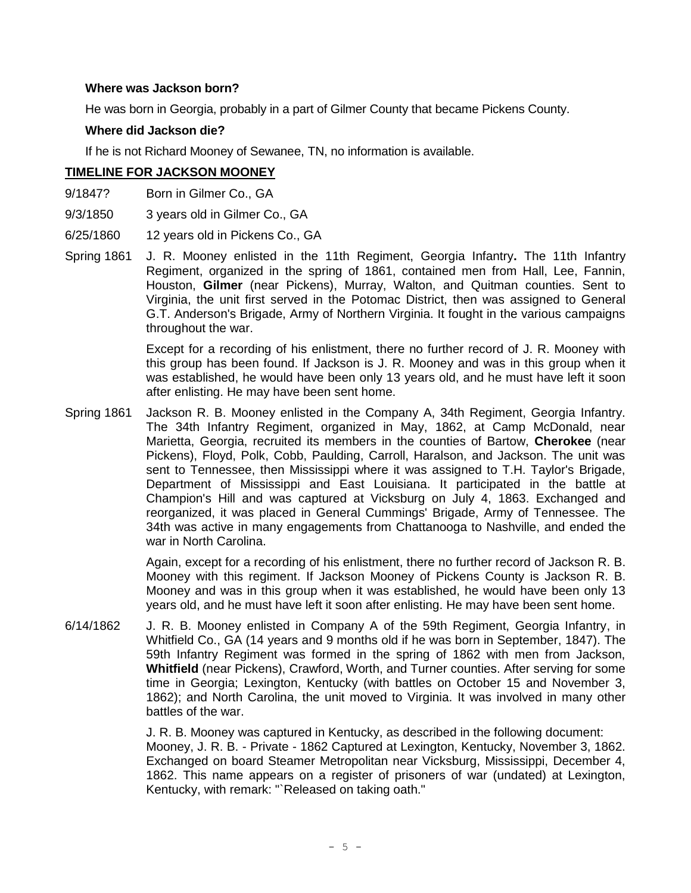## **Where was Jackson born?**

He was born in Georgia, probably in a part of Gilmer County that became Pickens County.

## **Where did Jackson die?**

If he is not Richard Mooney of Sewanee, TN, no information is available.

# **TIMELINE FOR JACKSON MOONEY**

- 9/1847? Born in Gilmer Co., GA
- 9/3/1850 3 years old in Gilmer Co., GA
- 6/25/1860 12 years old in Pickens Co., GA
- Spring 1861 J. R. Mooney enlisted in the 11th Regiment, Georgia Infantry**.** The 11th Infantry Regiment, organized in the spring of 1861, contained men from Hall, Lee, Fannin, Houston, **Gilmer** (near Pickens), Murray, Walton, and Quitman counties. Sent to Virginia, the unit first served in the Potomac District, then was assigned to General G.T. Anderson's Brigade, Army of Northern Virginia. It fought in the various campaigns throughout the war.

Except for a recording of his enlistment, there no further record of J. R. Mooney with this group has been found. If Jackson is J. R. Mooney and was in this group when it was established, he would have been only 13 years old, and he must have left it soon after enlisting. He may have been sent home.

Spring 1861 Jackson R. B. Mooney enlisted in the Company A, 34th Regiment, Georgia Infantry. The 34th Infantry Regiment, organized in May, 1862, at Camp McDonald, near Marietta, Georgia, recruited its members in the counties of Bartow, **Cherokee** (near Pickens), Floyd, Polk, Cobb, Paulding, Carroll, Haralson, and Jackson. The unit was sent to Tennessee, then Mississippi where it was assigned to T.H. Taylor's Brigade, Department of Mississippi and East Louisiana. It participated in the battle at [Champion's Hill](http://www.nps.gov/history/hps/abpp/battles/ms009.htm) and was captured at [Vicksburg](http://www.nps.gov/history/hps/abpp/battles/ms011.htm) on July 4, 1863. Exchanged and reorganized, it was placed in General Cummings' Brigade, Army of Tennessee. The 34th was active in many engagements from [Chattanooga](http://www.nps.gov/history/hps/abpp/battles/tn018.htm) to [Nashville,](http://www.nps.gov/history/hps/abpp/battles/tn038.htm) and ended the war in North Carolina.

> Again, except for a recording of his enlistment, there no further record of Jackson R. B. Mooney with this regiment. If Jackson Mooney of Pickens County is Jackson R. B. Mooney and was in this group when it was established, he would have been only 13 years old, and he must have left it soon after enlisting. He may have been sent home.

6/14/1862 J. R. B. Mooney enlisted in Company A of the 59th Regiment, Georgia Infantry, in Whitfield Co., GA (14 years and 9 months old if he was born in September, 1847). The 59th Infantry Regiment was formed in the spring of 1862 with men from Jackson, **Whitfield** (near Pickens), Crawford, Worth, and Turner counties. After serving for some time in Georgia; Lexington, Kentucky (with battles on October 15 and November 3, 1862); and North Carolina, the unit moved to Virginia. It was involved in many other battles of the war.

> J. R. B. Mooney was captured in Kentucky, as described in the following document: Mooney, J. R. B. - Private - 1862 Captured at Lexington, Kentucky, November 3, 1862. Exchanged on board Steamer Metropolitan near Vicksburg, Mississippi, December 4, 1862. This name appears on a register of prisoners of war (undated) at Lexington, Kentucky, with remark: "`Released on taking oath."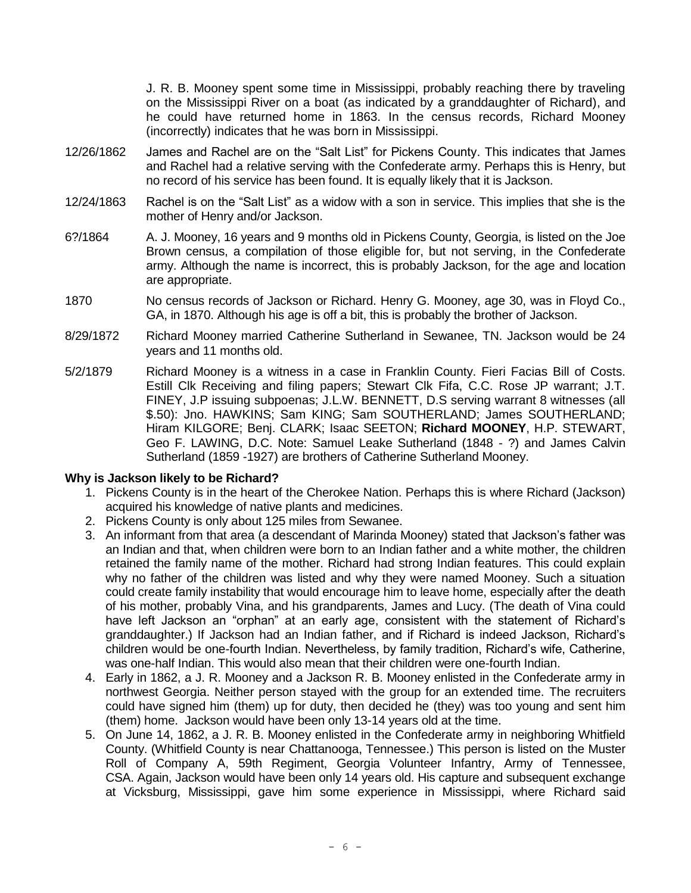J. R. B. Mooney spent some time in Mississippi, probably reaching there by traveling on the Mississippi River on a boat (as indicated by a granddaughter of Richard), and he could have returned home in 1863. In the census records, Richard Mooney (incorrectly) indicates that he was born in Mississippi.

- 12/26/1862 James and Rachel are on the "Salt List" for Pickens County. This indicates that James and Rachel had a relative serving with the Confederate army. Perhaps this is Henry, but no record of his service has been found. It is equally likely that it is Jackson.
- 12/24/1863 Rachel is on the "Salt List" as a widow with a son in service. This implies that she is the mother of Henry and/or Jackson.
- 6?/1864 A. J. Mooney, 16 years and 9 months old in Pickens County, Georgia, is listed on the Joe Brown census, a compilation of those eligible for, but not serving, in the Confederate army. Although the name is incorrect, this is probably Jackson, for the age and location are appropriate.
- 1870 No census records of Jackson or Richard. Henry G. Mooney, age 30, was in Floyd Co., GA, in 1870. Although his age is off a bit, this is probably the brother of Jackson.
- 8/29/1872 Richard Mooney married Catherine Sutherland in Sewanee, TN. Jackson would be 24 years and 11 months old.
- 5/2/1879 Richard Mooney is a witness in a case in Franklin County. Fieri Facias Bill of Costs. Estill Clk Receiving and filing papers; Stewart Clk Fifa, C.C. Rose JP warrant; J.T. FINEY, J.P issuing subpoenas; J.L.W. BENNETT, D.S serving warrant 8 witnesses (all \$.50): Jno. HAWKINS; Sam KING; Sam SOUTHERLAND; James SOUTHERLAND; Hiram KILGORE; Benj. CLARK; Isaac SEETON; **Richard MOONEY**, H.P. STEWART, Geo F. LAWING, D.C. Note: Samuel Leake Sutherland (1848 - ?) and James Calvin Sutherland (1859 -1927) are brothers of Catherine Sutherland Mooney.

# **Why is Jackson likely to be Richard?**

- 1. Pickens County is in the heart of the Cherokee Nation. Perhaps this is where Richard (Jackson) acquired his knowledge of native plants and medicines.
- 2. Pickens County is only about 125 miles from Sewanee.
- 3. An informant from that area (a descendant of Marinda Mooney) stated that Jackson's father was an Indian and that, when children were born to an Indian father and a white mother, the children retained the family name of the mother. Richard had strong Indian features. This could explain why no father of the children was listed and why they were named Mooney. Such a situation could create family instability that would encourage him to leave home, especially after the death of his mother, probably Vina, and his grandparents, James and Lucy. (The death of Vina could have left Jackson an "orphan" at an early age, consistent with the statement of Richard's granddaughter.) If Jackson had an Indian father, and if Richard is indeed Jackson, Richard's children would be one-fourth Indian. Nevertheless, by family tradition, Richard's wife, Catherine, was one-half Indian. This would also mean that their children were one-fourth Indian.
- 4. Early in 1862, a J. R. Mooney and a Jackson R. B. Mooney enlisted in the Confederate army in northwest Georgia. Neither person stayed with the group for an extended time. The recruiters could have signed him (them) up for duty, then decided he (they) was too young and sent him (them) home. Jackson would have been only 13-14 years old at the time.
- 5. On June 14, 1862, a J. R. B. Mooney enlisted in the Confederate army in neighboring Whitfield County. (Whitfield County is near Chattanooga, Tennessee.) This person is listed on the Muster Roll of Company A, 59th Regiment, Georgia Volunteer Infantry, Army of Tennessee, CSA. Again, Jackson would have been only 14 years old. His capture and subsequent exchange at Vicksburg, Mississippi, gave him some experience in Mississippi, where Richard said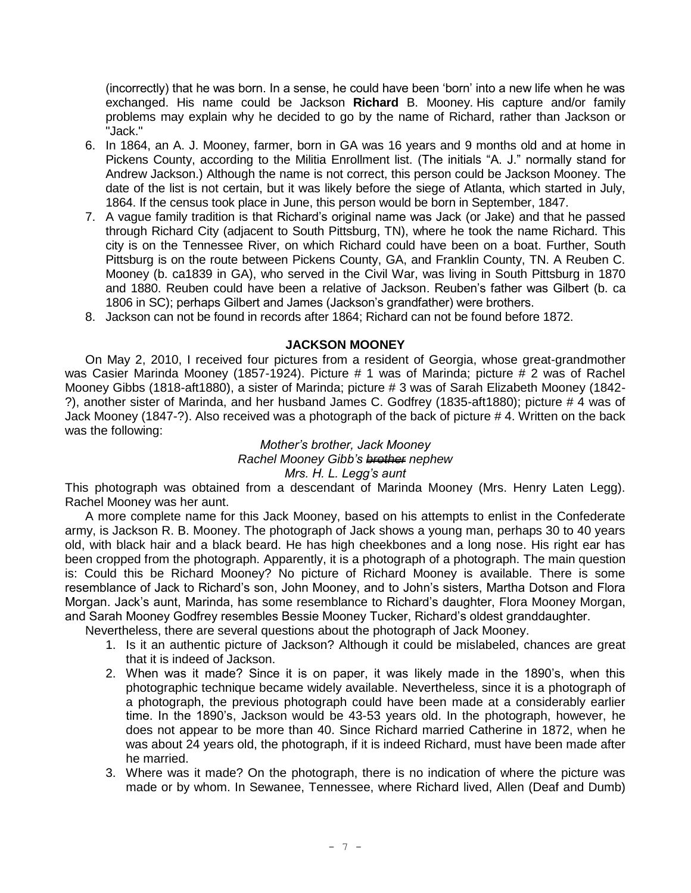(incorrectly) that he was born. In a sense, he could have been 'born' into a new life when he was exchanged. His name could be Jackson **Richard** B. Mooney. His capture and/or family problems may explain why he decided to go by the name of Richard, rather than Jackson or "Jack."

- 6. In 1864, an A. J. Mooney, farmer, born in GA was 16 years and 9 months old and at home in Pickens County, according to the Militia Enrollment list. (The initials "A. J." normally stand for Andrew Jackson.) Although the name is not correct, this person could be Jackson Mooney. The date of the list is not certain, but it was likely before the siege of Atlanta, which started in July, 1864. If the census took place in June, this person would be born in September, 1847.
- 7. A vague family tradition is that Richard's original name was Jack (or Jake) and that he passed through Richard City (adjacent to South Pittsburg, TN), where he took the name Richard. This city is on the Tennessee River, on which Richard could have been on a boat. Further, South Pittsburg is on the route between Pickens County, GA, and Franklin County, TN. A Reuben C. Mooney (b. ca1839 in GA), who served in the Civil War, was living in South Pittsburg in 1870 and 1880. Reuben could have been a relative of Jackson. Reuben's father was Gilbert (b. ca 1806 in SC); perhaps Gilbert and James (Jackson's grandfather) were brothers.
- 8. Jackson can not be found in records after 1864; Richard can not be found before 1872.

## **JACKSON MOONEY**

On May 2, 2010, I received four pictures from a resident of Georgia, whose great-grandmother was Casier Marinda Mooney (1857-1924). Picture # 1 was of Marinda; picture # 2 was of Rachel Mooney Gibbs (1818-aft1880), a sister of Marinda; picture # 3 was of Sarah Elizabeth Mooney (1842- ?), another sister of Marinda, and her husband James C. Godfrey (1835-aft1880); picture # 4 was of Jack Mooney (1847-?). Also received was a photograph of the back of picture # 4. Written on the back was the following:

#### *Mother's brother, Jack Mooney Rachel Mooney Gibb's brother nephew Mrs. H. L. Legg's aunt*

This photograph was obtained from a descendant of Marinda Mooney (Mrs. Henry Laten Legg). Rachel Mooney was her aunt.

A more complete name for this Jack Mooney, based on his attempts to enlist in the Confederate army, is Jackson R. B. Mooney. The photograph of Jack shows a young man, perhaps 30 to 40 years old, with black hair and a black beard. He has high cheekbones and a long nose. His right ear has been cropped from the photograph. Apparently, it is a photograph of a photograph. The main question is: Could this be Richard Mooney? No picture of Richard Mooney is available. There is some resemblance of Jack to Richard's son, John Mooney, and to John's sisters, Martha Dotson and Flora Morgan. Jack's aunt, Marinda, has some resemblance to Richard's daughter, Flora Mooney Morgan, and Sarah Mooney Godfrey resembles Bessie Mooney Tucker, Richard's oldest granddaughter.

Nevertheless, there are several questions about the photograph of Jack Mooney.

- 1. Is it an authentic picture of Jackson? Although it could be mislabeled, chances are great that it is indeed of Jackson.
- 2. When was it made? Since it is on paper, it was likely made in the 1890's, when this photographic technique became widely available. Nevertheless, since it is a photograph of a photograph, the previous photograph could have been made at a considerably earlier time. In the 1890's, Jackson would be 43-53 years old. In the photograph, however, he does not appear to be more than 40. Since Richard married Catherine in 1872, when he was about 24 years old, the photograph, if it is indeed Richard, must have been made after he married.
- 3. Where was it made? On the photograph, there is no indication of where the picture was made or by whom. In Sewanee, Tennessee, where Richard lived, Allen (Deaf and Dumb)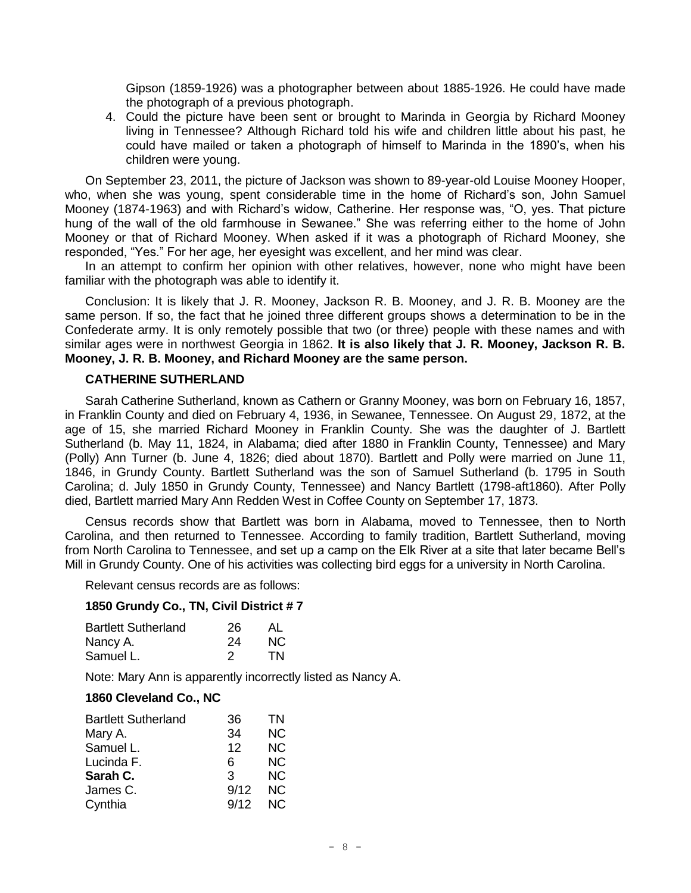Gipson (1859-1926) was a photographer between about 1885-1926. He could have made the photograph of a previous photograph.

4. Could the picture have been sent or brought to Marinda in Georgia by Richard Mooney living in Tennessee? Although Richard told his wife and children little about his past, he could have mailed or taken a photograph of himself to Marinda in the 1890's, when his children were young.

On September 23, 2011, the picture of Jackson was shown to 89-year-old Louise Mooney Hooper, who, when she was young, spent considerable time in the home of Richard's son, John Samuel Mooney (1874-1963) and with Richard's widow, Catherine. Her response was, "O, yes. That picture hung of the wall of the old farmhouse in Sewanee." She was referring either to the home of John Mooney or that of Richard Mooney. When asked if it was a photograph of Richard Mooney, she responded, "Yes." For her age, her eyesight was excellent, and her mind was clear.

In an attempt to confirm her opinion with other relatives, however, none who might have been familiar with the photograph was able to identify it.

Conclusion: It is likely that J. R. Mooney, Jackson R. B. Mooney, and J. R. B. Mooney are the same person. If so, the fact that he joined three different groups shows a determination to be in the Confederate army. It is only remotely possible that two (or three) people with these names and with similar ages were in northwest Georgia in 1862. **It is also likely that J. R. Mooney, Jackson R. B. Mooney, J. R. B. Mooney, and Richard Mooney are the same person.**

#### **CATHERINE SUTHERLAND**

Sarah Catherine Sutherland, known as Cathern or Granny Mooney, was born on February 16, 1857, in Franklin County and died on February 4, 1936, in Sewanee, Tennessee. On August 29, 1872, at the age of 15, she married Richard Mooney in Franklin County. She was the daughter of J. Bartlett Sutherland (b. May 11, 1824, in Alabama; died after 1880 in Franklin County, Tennessee) and Mary (Polly) Ann Turner (b. June 4, 1826; died about 1870). Bartlett and Polly were married on June 11, 1846, in Grundy County. Bartlett Sutherland was the son of Samuel Sutherland (b. 1795 in South Carolina; d. July 1850 in Grundy County, Tennessee) and Nancy Bartlett (1798-aft1860). After Polly died, Bartlett married Mary Ann Redden West in Coffee County on September 17, 1873.

Census records show that Bartlett was born in Alabama, moved to Tennessee, then to North Carolina, and then returned to Tennessee. According to family tradition, Bartlett Sutherland, moving from North Carolina to Tennessee, and set up a camp on the Elk River at a site that later became Bell's Mill in Grundy County. One of his activities was collecting bird eggs for a university in North Carolina.

Relevant census records are as follows:

#### **1850 Grundy Co., TN, Civil District # 7**

| <b>Bartlett Sutherland</b> | 26 | AL  |
|----------------------------|----|-----|
| Nancy A.                   | 24 | NC. |
| Samuel L.                  | 2  | TN. |

Note: Mary Ann is apparently incorrectly listed as Nancy A.

#### **1860 Cleveland Co., NC**

| <b>Bartlett Sutherland</b> | 36   | ΤN        |
|----------------------------|------|-----------|
| Mary A.                    | 34   | <b>NC</b> |
| Samuel L.                  | 12   | <b>NC</b> |
| Lucinda F.                 | 6    | NС        |
| Sarah C.                   | 3    | NC.       |
| James C.                   | 9/12 | NC.       |
| Cynthia                    | 9/12 | NC.       |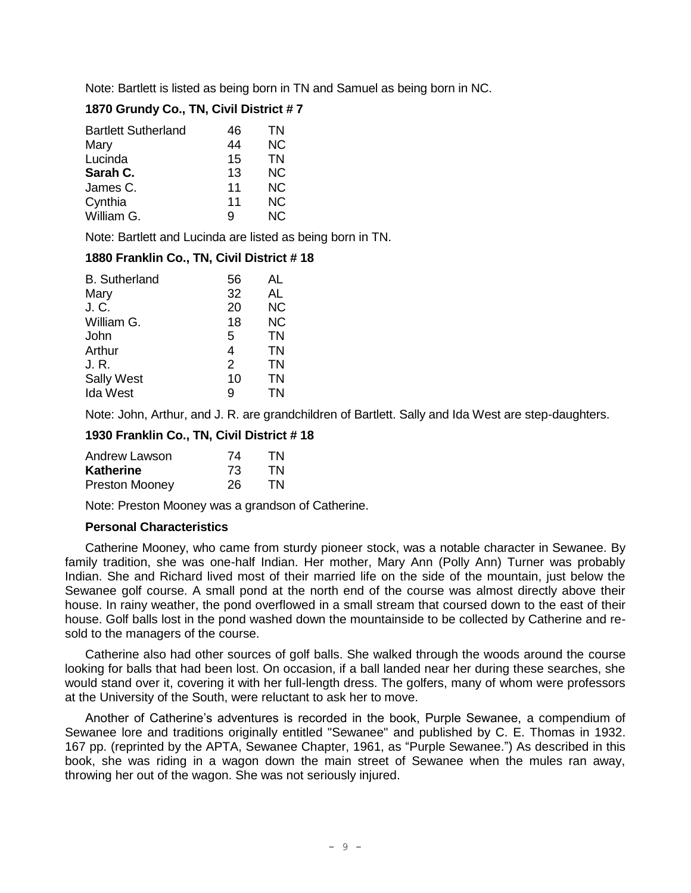Note: Bartlett is listed as being born in TN and Samuel as being born in NC.

## **1870 Grundy Co., TN, Civil District # 7**

| <b>Bartlett Sutherland</b> | 46 | TN        |
|----------------------------|----|-----------|
| Mary                       | 44 | <b>NC</b> |
| Lucinda                    | 15 | ΤN        |
| Sarah C.                   | 13 | <b>NC</b> |
| James C.                   | 11 | NС        |
| Cynthia                    | 11 | NC.       |
| William G.                 | р  | NC.       |

Note: Bartlett and Lucinda are listed as being born in TN.

## **1880 Franklin Co., TN, Civil District # 18**

| 56 | AL        |
|----|-----------|
| 32 | AL        |
| 20 | <b>NC</b> |
| 18 | <b>NC</b> |
| 5  | <b>TN</b> |
| 4  | TN        |
| 2  | TN        |
| 10 | <b>TN</b> |
| 9  | ΤN        |
|    |           |

Note: John, Arthur, and J. R. are grandchildren of Bartlett. Sally and Ida West are step-daughters.

## **1930 Franklin Co., TN, Civil District # 18**

| Andrew Lawson         | 74 | TN |
|-----------------------|----|----|
| Katherine             | 73 | TN |
| <b>Preston Mooney</b> | 26 | TN |

Note: Preston Mooney was a grandson of Catherine.

## **Personal Characteristics**

Catherine Mooney, who came from sturdy pioneer stock, was a notable character in Sewanee. By family tradition, she was one-half Indian. Her mother, Mary Ann (Polly Ann) Turner was probably Indian. She and Richard lived most of their married life on the side of the mountain, just below the Sewanee golf course. A small pond at the north end of the course was almost directly above their house. In rainy weather, the pond overflowed in a small stream that coursed down to the east of their house. Golf balls lost in the pond washed down the mountainside to be collected by Catherine and resold to the managers of the course.

Catherine also had other sources of golf balls. She walked through the woods around the course looking for balls that had been lost. On occasion, if a ball landed near her during these searches, she would stand over it, covering it with her full-length dress. The golfers, many of whom were professors at the University of the South, were reluctant to ask her to move.

Another of Catherine's adventures is recorded in the book, Purple Sewanee, a compendium of Sewanee lore and traditions originally entitled "Sewanee" and published by C. E. Thomas in 1932. 167 pp. (reprinted by the APTA, Sewanee Chapter, 1961, as "Purple Sewanee.") As described in this book, she was riding in a wagon down the main street of Sewanee when the mules ran away, throwing her out of the wagon. She was not seriously injured.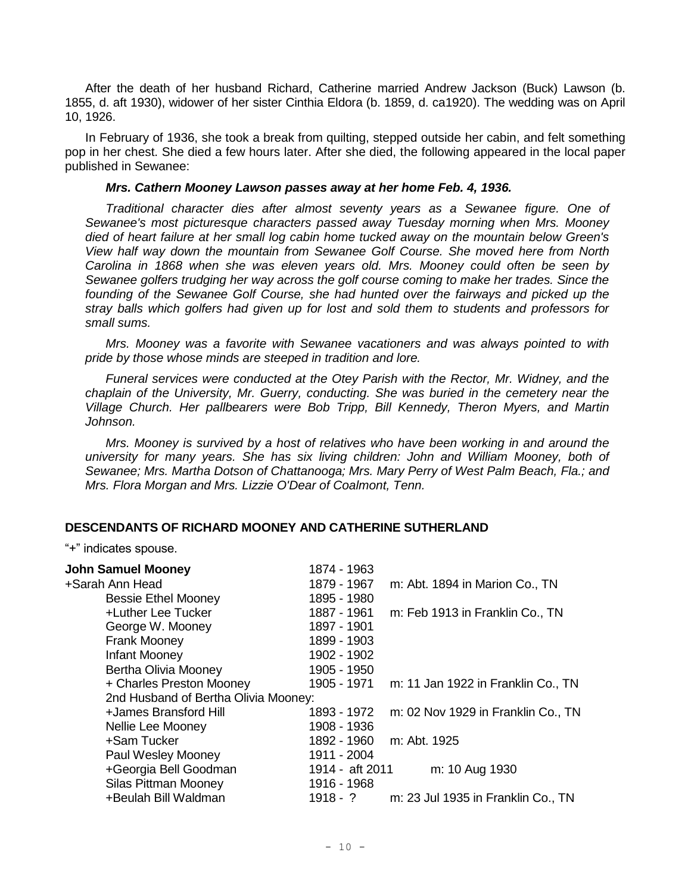After the death of her husband Richard, Catherine married Andrew Jackson (Buck) Lawson (b. 1855, d. aft 1930), widower of her sister Cinthia Eldora (b. 1859, d. ca1920). The wedding was on April 10, 1926.

In February of 1936, she took a break from quilting, stepped outside her cabin, and felt something pop in her chest. She died a few hours later. After she died, the following appeared in the local paper published in Sewanee:

#### *Mrs. Cathern Mooney Lawson passes away at her home Feb. 4, 1936.*

*Traditional character dies after almost seventy years as a Sewanee figure. One of Sewanee's most picturesque characters passed away Tuesday morning when Mrs. Mooney died of heart failure at her small log cabin home tucked away on the mountain below Green's View half way down the mountain from Sewanee Golf Course. She moved here from North Carolina in 1868 when she was eleven years old. Mrs. Mooney could often be seen by Sewanee golfers trudging her way across the golf course coming to make her trades. Since the founding of the Sewanee Golf Course, she had hunted over the fairways and picked up the stray balls which golfers had given up for lost and sold them to students and professors for small sums.*

*Mrs. Mooney was a favorite with Sewanee vacationers and was always pointed to with pride by those whose minds are steeped in tradition and lore.*

*Funeral services were conducted at the Otey Parish with the Rector, Mr. Widney, and the chaplain of the University, Mr. Guerry, conducting. She was buried in the cemetery near the Village Church. Her pallbearers were Bob Tripp, Bill Kennedy, Theron Myers, and Martin Johnson.*

*Mrs. Mooney is survived by a host of relatives who have been working in and around the university for many years. She has six living children: John and William Mooney, both of Sewanee; Mrs. Martha Dotson of Chattanooga; Mrs. Mary Perry of West Palm Beach, Fla.; and Mrs. Flora Morgan and Mrs. Lizzie O'Dear of Coalmont, Tenn.*

## **DESCENDANTS OF RICHARD MOONEY AND CATHERINE SUTHERLAND**

"+" indicates spouse.

| 1874 - 1963                          |                                    |
|--------------------------------------|------------------------------------|
| 1879 - 1967                          | m: Abt. 1894 in Marion Co., TN     |
| 1895 - 1980                          |                                    |
| 1887 - 1961                          | m: Feb 1913 in Franklin Co., TN    |
| 1897 - 1901                          |                                    |
| 1899 - 1903                          |                                    |
| 1902 - 1902                          |                                    |
| 1905 - 1950                          |                                    |
| 1905 - 1971                          | m: 11 Jan 1922 in Franklin Co., TN |
| 2nd Husband of Bertha Olivia Mooney: |                                    |
| 1893 - 1972                          | m: 02 Nov 1929 in Franklin Co., TN |
| 1908 - 1936                          |                                    |
| 1892 - 1960                          | m: Abt. 1925                       |
| 1911 - 2004                          |                                    |
| 1914 - aft 2011                      | m: 10 Aug 1930                     |
| 1916 - 1968                          |                                    |
| $1918 - ?$                           | m: 23 Jul 1935 in Franklin Co., TN |
|                                      |                                    |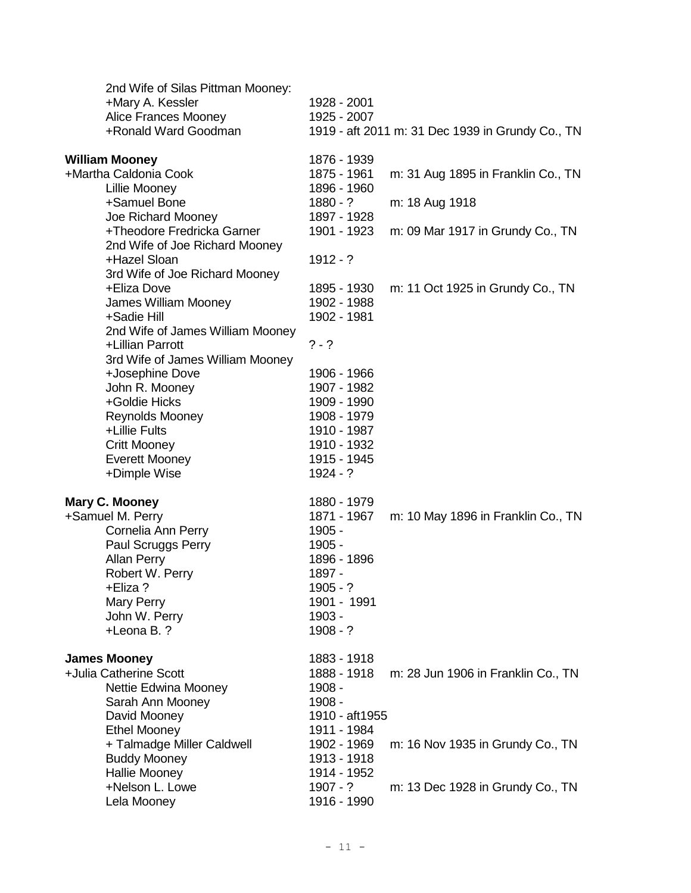| 1928 - 2001<br>1925 - 2007                                                                                          | 1919 - aft 2011 m: 31 Dec 1939 in Grundy Co., TN         |
|---------------------------------------------------------------------------------------------------------------------|----------------------------------------------------------|
| 1876 - 1939<br>1875 - 1961                                                                                          | m: 31 Aug 1895 in Franklin Co., TN                       |
| $1880 - ?$                                                                                                          | m: 18 Aug 1918                                           |
| 1901 - 1923                                                                                                         | m: 09 Mar 1917 in Grundy Co., TN                         |
| $1912 - ?$                                                                                                          |                                                          |
| 1895 - 1930<br>1902 - 1988<br>1902 - 1981                                                                           | m: 11 Oct 1925 in Grundy Co., TN                         |
| $? - ?$                                                                                                             |                                                          |
| 1906 - 1966<br>1907 - 1982<br>1909 - 1990<br>1908 - 1979<br>1910 - 1987<br>1910 - 1932<br>1915 - 1945<br>$1924 - ?$ |                                                          |
| 1880 - 1979                                                                                                         |                                                          |
| $1905 -$<br>1905 -<br>1896 - 1896<br>1897 -<br>$1905 - ?$<br>1901 - 1991<br>1903 -<br>$1908 - ?$                    | m: 10 May 1896 in Franklin Co., TN                       |
| 1883 - 1918<br>1888 - 1918<br>1908 -<br>1908 -<br>1910 - aft1955                                                    | m: 28 Jun 1906 in Franklin Co., TN                       |
| 1911 - 1984<br>1902 - 1969<br>1913 - 1918                                                                           | m: 16 Nov 1935 in Grundy Co., TN                         |
| $1907 - ?$<br>1916 - 1990                                                                                           | m: 13 Dec 1928 in Grundy Co., TN                         |
|                                                                                                                     | 1896 - 1960<br>1897 - 1928<br>1871 - 1967<br>1914 - 1952 |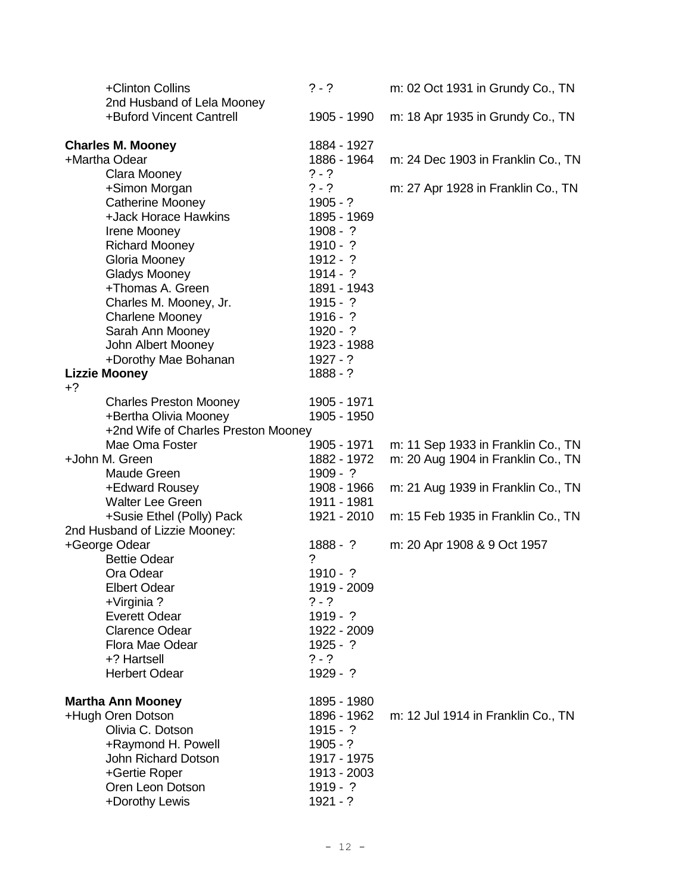| +Clinton Collins<br>2nd Husband of Lela Mooney               | $? - ?$                  | m: 02 Oct 1931 in Grundy Co., TN   |
|--------------------------------------------------------------|--------------------------|------------------------------------|
| +Buford Vincent Cantrell                                     | 1905 - 1990              | m: 18 Apr 1935 in Grundy Co., TN   |
| <b>Charles M. Mooney</b>                                     | 1884 - 1927              |                                    |
| +Martha Odear                                                | 1886 - 1964              | m: 24 Dec 1903 in Franklin Co., TN |
| Clara Mooney                                                 | $? - ?$                  |                                    |
| +Simon Morgan                                                | $? - ?$                  | m: 27 Apr 1928 in Franklin Co., TN |
| Catherine Mooney                                             | $1905 - ?$               |                                    |
| +Jack Horace Hawkins                                         | 1895 - 1969              |                                    |
| Irene Mooney<br><b>Richard Mooney</b>                        | $1908 - ?$<br>$1910 - ?$ |                                    |
| Gloria Mooney                                                | $1912 - ?$               |                                    |
| <b>Gladys Mooney</b>                                         | $1914 - ?$               |                                    |
| +Thomas A. Green                                             | 1891 - 1943              |                                    |
| Charles M. Mooney, Jr.                                       | $1915 - ?$               |                                    |
| <b>Charlene Mooney</b>                                       | $1916 - ?$               |                                    |
| Sarah Ann Mooney                                             | $1920 - ?$               |                                    |
| John Albert Mooney                                           | 1923 - 1988              |                                    |
| +Dorothy Mae Bohanan                                         | $1927 - ?$               |                                    |
| <b>Lizzie Mooney</b>                                         | $1888 - ?$               |                                    |
| $+2$                                                         |                          |                                    |
| <b>Charles Preston Mooney</b>                                | 1905 - 1971              |                                    |
| +Bertha Olivia Mooney<br>+2nd Wife of Charles Preston Mooney | 1905 - 1950              |                                    |
| Mae Oma Foster                                               | 1905 - 1971              | m: 11 Sep 1933 in Franklin Co., TN |
| +John M. Green                                               | 1882 - 1972              | m: 20 Aug 1904 in Franklin Co., TN |
| Maude Green                                                  | $1909 - ?$               |                                    |
| +Edward Rousey                                               | 1908 - 1966              | m: 21 Aug 1939 in Franklin Co., TN |
| <b>Walter Lee Green</b>                                      | 1911 - 1981              |                                    |
| +Susie Ethel (Polly) Pack                                    | 1921 - 2010              | m: 15 Feb 1935 in Franklin Co., TN |
| 2nd Husband of Lizzie Mooney:                                |                          |                                    |
| +George Odear                                                | $1888 - ?$               | m: 20 Apr 1908 & 9 Oct 1957        |
| <b>Bettie Odear</b>                                          | $\gamma$                 |                                    |
| Ora Odear                                                    | $1910 - ?$               |                                    |
| <b>Elbert Odear</b>                                          | 1919 - 2009<br>$? - ?$   |                                    |
| +Virginia?<br><b>Everett Odear</b>                           | $1919 - ?$               |                                    |
| <b>Clarence Odear</b>                                        | 1922 - 2009              |                                    |
| Flora Mae Odear                                              | $1925 - ?$               |                                    |
| +? Hartsell                                                  | $? - ?$                  |                                    |
| <b>Herbert Odear</b>                                         | $1929 - ?$               |                                    |
| <b>Martha Ann Mooney</b>                                     | 1895 - 1980              |                                    |
| +Hugh Oren Dotson                                            | 1896 - 1962              | m: 12 Jul 1914 in Franklin Co., TN |
| Olivia C. Dotson                                             | $1915 - ?$               |                                    |
| +Raymond H. Powell                                           | $1905 - ?$               |                                    |
| John Richard Dotson                                          | 1917 - 1975              |                                    |
| +Gertie Roper                                                | 1913 - 2003              |                                    |
| Oren Leon Dotson                                             | $1919 - ?$               |                                    |
| +Dorothy Lewis                                               | $1921 - ?$               |                                    |